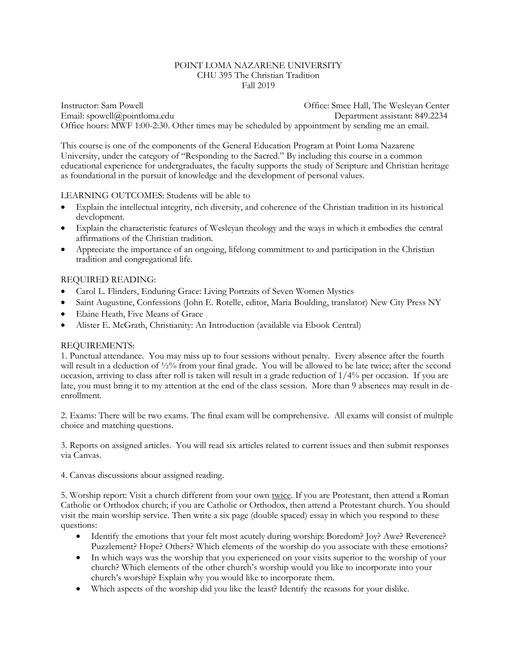#### POINT LOMA NAZARENE UNIVERSITY CHU 395 The Christian Tradition Fall 2019

Instructor: Sam Powell Office: Smee Hall, The Wesleyan Center Email: [spowell@pointloma.edu](mailto:spowell@ptloma.edu) Department assistant: 849.2234 Office hours: MWF 1:00-2:30. Other times may be scheduled by appointment by sending me an email.

This course is one of the components of the General Education Program at Point Loma Nazarene University, under the category of "Responding to the Sacred." By including this course in a common educational experience for undergraduates, the faculty supports the study of Scripture and Christian heritage as foundational in the pursuit of knowledge and the development of personal values.

### LEARNING OUTCOMES: Students will be able to

- Explain the intellectual integrity, rich diversity, and coherence of the Christian tradition in its historical development.
- Explain the characteristic features of Wesleyan theology and the ways in which it embodies the central affirmations of the Christian tradition.
- Appreciate the importance of an ongoing, lifelong commitment to and participation in the Christian tradition and congregational life.

### REQUIRED READING:

- Carol L. Flinders, Enduring Grace: Living Portraits of Seven Women Mystics
- Saint Augustine, Confessions (John E. Rotelle, editor, Maria Boulding, translator) New City Press NY
- Elaine Heath, Five Means of Grace
- Alister E. McGrath, Christianity: An Introduction (available via Ebook Central)

#### REQUIREMENTS:

1. Punctual attendance. You may miss up to four sessions without penalty. Every absence after the fourth will result in a deduction of  $\frac{1}{2}\%$  from your final grade. You will be allowed to be late twice; after the second occasion, arriving to class after roll is taken will result in a grade reduction of  $1/4\%$  per occasion. If you are late, you must bring it to my attention at the end of the class session. More than 9 absences may result in deenrollment.

2. Exams: There will be two exams. The final exam will be comprehensive. All exams will consist of multiple choice and matching questions.

3. Reports on assigned articles. You will read six articles related to current issues and then submit responses via Canvas.

4. Canvas discussions about assigned reading.

5. Worship report: Visit a church different from your own twice. If you are Protestant, then attend a Roman Catholic or Orthodox church; if you are Catholic or Orthodox, then attend a Protestant church. You should visit the main worship service. Then write a six page (double spaced) essay in which you respond to these questions:

- Identify the emotions that your felt most acutely during worship: Boredom? Joy? Awe? Reverence? Puzzlement? Hope? Others? Which elements of the worship do you associate with these emotions?
- In which ways was the worship that you experienced on your visits superior to the worship of your church? Which elements of the other church's worship would you like to incorporate into your church's worship? Explain why you would like to incorporate them.
- Which aspects of the worship did you like the least? Identify the reasons for your dislike.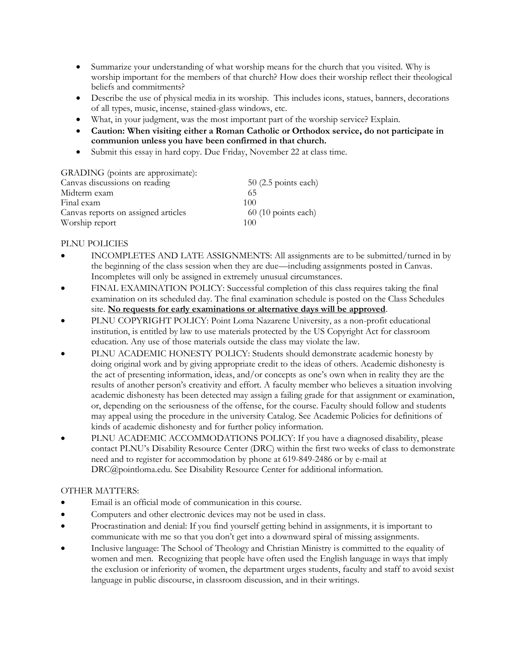- Summarize your understanding of what worship means for the church that you visited. Why is worship important for the members of that church? How does their worship reflect their theological beliefs and commitments?
- Describe the use of physical media in its worship. This includes icons, statues, banners, decorations of all types, music, incense, stained-glass windows, etc.
- What, in your judgment, was the most important part of the worship service? Explain.
- **Caution: When visiting either a Roman Catholic or Orthodox service, do not participate in communion unless you have been confirmed in that church.**
- Submit this essay in hard copy. Due Friday, November 22 at class time.

GRADING (points are approximate):

| Canvas discussions on reading       | $50$ (2.5 points each)       |
|-------------------------------------|------------------------------|
| Midterm exam                        | 65                           |
| Final exam                          | 100                          |
| Canvas reports on assigned articles | $60(10 \text{ points each})$ |
| Worship report                      | 100                          |

# PLNU POLICIES

- INCOMPLETES AND LATE ASSIGNMENTS: All assignments are to be submitted/turned in by the beginning of the class session when they are due—including assignments posted in Canvas. Incompletes will only be assigned in extremely unusual circumstances.
- FINAL EXAMINATION POLICY: Successful completion of this class requires taking the final examination on its scheduled day. The final examination schedule is posted on the Class Schedules site. **No requests for early examinations or alternative days will be approved**.
- PLNU COPYRIGHT POLICY: Point Loma Nazarene University, as a non-profit educational institution, is entitled by law to use materials protected by the US Copyright Act for classroom education. Any use of those materials outside the class may violate the law.
- PLNU ACADEMIC HONESTY POLICY: Students should demonstrate academic honesty by doing original work and by giving appropriate credit to the ideas of others. Academic dishonesty is the act of presenting information, ideas, and/or concepts as one's own when in reality they are the results of another person's creativity and effort. A faculty member who believes a situation involving academic dishonesty has been detected may assign a failing grade for that assignment or examination, or, depending on the seriousness of the offense, for the course. Faculty should follow and students may appeal using the procedure in the university Catalog. See Academic Policies for definitions of kinds of academic dishonesty and for further policy information.
- PLNU ACADEMIC ACCOMMODATIONS POLICY: If you have a diagnosed disability, please contact PLNU's Disability Resource Center (DRC) within the first two weeks of class to demonstrate need and to register for accommodation by phone at 619-849-2486 or by e-mail at DRC@pointloma.edu. See Disability Resource Center for additional information.

# OTHER MATTERS:

- Email is an official mode of communication in this course.
- Computers and other electronic devices may not be used in class.
- Procrastination and denial: If you find yourself getting behind in assignments, it is important to communicate with me so that you don't get into a downward spiral of missing assignments.
- Inclusive language: The School of Theology and Christian Ministry is committed to the equality of women and men. Recognizing that people have often used the English language in ways that imply the exclusion or inferiority of women, the department urges students, faculty and staff to avoid sexist language in public discourse, in classroom discussion, and in their writings.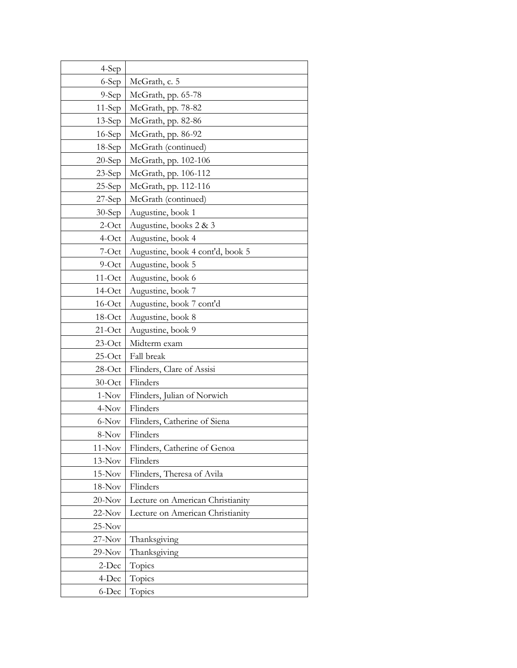| 4-Sep     |                                  |
|-----------|----------------------------------|
| 6-Sep     | McGrath, c. 5                    |
| $9-Sep$   | McGrath, pp. 65-78               |
| $11-Sep$  | McGrath, pp. 78-82               |
| $13-Sep$  | McGrath, pp. 82-86               |
| $16-Sep$  | McGrath, pp. 86-92               |
| $18-Sep$  | McGrath (continued)              |
| $20-Sep$  | McGrath, pp. 102-106             |
| $23-Sep$  | McGrath, pp. 106-112             |
| $25-Sep$  | McGrath, pp. 112-116             |
| $27$ -Sep | McGrath (continued)              |
| $30-Sep$  | Augustine, book 1                |
| $2$ -Oct  | Augustine, books 2 & 3           |
| 4-Oct     | Augustine, book 4                |
| 7-Oct     | Augustine, book 4 cont'd, book 5 |
| $9$ -Oct  | Augustine, book 5                |
| $11-Oct$  | Augustine, book 6                |
| $14-Oct$  | Augustine, book 7                |
| $16$ -Oct | Augustine, book 7 cont'd         |
| $18$ -Oct | Augustine, book 8                |
| $21$ -Oct | Augustine, book 9                |
| $23$ -Oct | Midterm exam                     |
| $25$ -Oct | Fall break                       |
| $28$ -Oct | Flinders, Clare of Assisi        |
| $30$ -Oct | Flinders                         |
| $1-Nov$   | Flinders, Julian of Norwich      |
| 4-Nov     | Flinders                         |
| 6-Nov     | Flinders, Catherine of Siena     |
| 8-Nov     | Flinders                         |
| $11-Nov$  | Flinders, Catherine of Genoa     |
| $13-Nov$  | Flinders                         |
| $15-Nov$  | Flinders, Theresa of Avila       |
| $18-Nov$  | Flinders                         |
| $20-Nov$  | Lecture on American Christianity |
| $22-Nov$  | Lecture on American Christianity |
| $25-Nov$  |                                  |
| $27-Nov$  | Thanksgiving                     |
| $29-Nov$  | Thanksgiving                     |
| 2-Dec     | Topics                           |
| 4-Dec     | Topics                           |
| 6-Dec     | Topics                           |